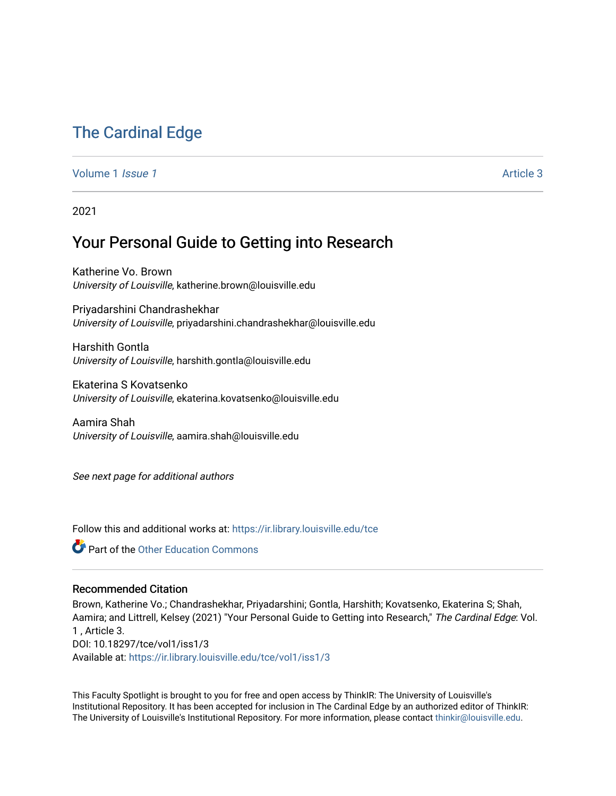# [The Cardinal Edge](https://ir.library.louisville.edu/tce)

#### [Volume 1](https://ir.library.louisville.edu/tce/vol1) *Issue 1* Article 3

2021

## Your Personal Guide to Getting into Research

Katherine Vo. Brown University of Louisville, katherine.brown@louisville.edu

Priyadarshini Chandrashekhar University of Louisville, priyadarshini.chandrashekhar@louisville.edu

Harshith Gontla University of Louisville, harshith.gontla@louisville.edu

Ekaterina S Kovatsenko University of Louisville, ekaterina.kovatsenko@louisville.edu

Aamira Shah University of Louisville, aamira.shah@louisville.edu

See next page for additional authors

Follow this and additional works at: [https://ir.library.louisville.edu/tce](https://ir.library.louisville.edu/tce?utm_source=ir.library.louisville.edu%2Ftce%2Fvol1%2Fiss1%2F3&utm_medium=PDF&utm_campaign=PDFCoverPages)

**Part of the Other Education Commons** 

#### Recommended Citation

Brown, Katherine Vo.; Chandrashekhar, Priyadarshini; Gontla, Harshith; Kovatsenko, Ekaterina S; Shah, Aamira; and Littrell, Kelsey (2021) "Your Personal Guide to Getting into Research," The Cardinal Edge: Vol. 1 , Article 3. DOI: 10.18297/tce/vol1/iss1/3 Available at: [https://ir.library.louisville.edu/tce/vol1/iss1/3](https://ir.library.louisville.edu/tce/vol1/iss1/3?utm_source=ir.library.louisville.edu%2Ftce%2Fvol1%2Fiss1%2F3&utm_medium=PDF&utm_campaign=PDFCoverPages)

This Faculty Spotlight is brought to you for free and open access by ThinkIR: The University of Louisville's Institutional Repository. It has been accepted for inclusion in The Cardinal Edge by an authorized editor of ThinkIR: The University of Louisville's Institutional Repository. For more information, please contact [thinkir@louisville.edu.](mailto:thinkir@louisville.edu)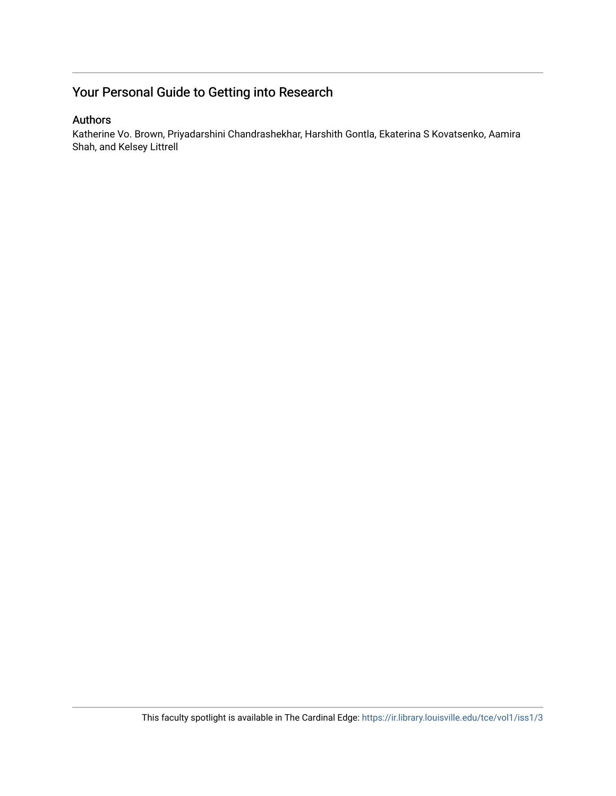## Your Personal Guide to Getting into Research

## Authors

Katherine Vo. Brown, Priyadarshini Chandrashekhar, Harshith Gontla, Ekaterina S Kovatsenko, Aamira Shah, and Kelsey Littrell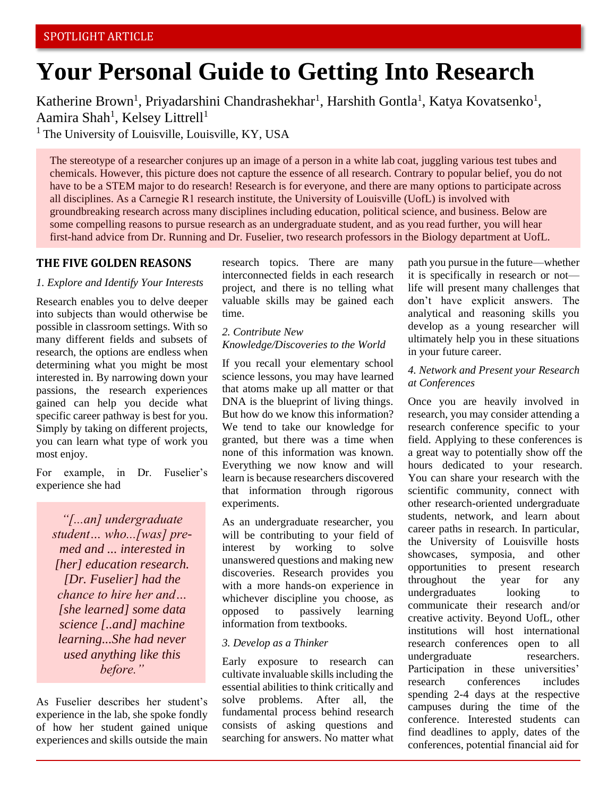# **Your Personal Guide to Getting Into Research**

Katherine Brown<sup>1</sup>, Priyadarshini Chandrashekhar<sup>1</sup>, Harshith Gontla<sup>1</sup>, Katya Kovatsenko<sup>1</sup>, Aamira Shah<sup>1</sup>, Kelsey Littrell<sup>1</sup>

 $<sup>1</sup>$  The University of Louisville, Louisville, KY, USA</sup>

The stereotype of a researcher conjures up an image of a person in a white lab coat, juggling various test tubes and chemicals. However, this picture does not capture the essence of all research. Contrary to popular belief, you do not have to be a STEM major to do research! Research is for everyone, and there are many options to participate across all disciplines. As a Carnegie R1 research institute, the University of Louisville (UofL) is involved with groundbreaking research across many disciplines including education, political science, and business. Below are some compelling reasons to pursue research as an undergraduate student, and as you read further, you will hear first-hand advice from Dr. Running and Dr. Fuselier, two research professors in the Biology department at UofL.

#### **THE FIVE GOLDEN REASONS**

#### *1. Explore and Identify Your Interests*

Research enables you to delve deeper into subjects than would otherwise be possible in classroom settings. With so many different fields and subsets of research, the options are endless when determining what you might be most interested in. By narrowing down your passions, the research experiences gained can help you decide what specific career pathway is best for you. Simply by taking on different projects, you can learn what type of work you most enjoy.

For example, in Dr. Fuselier's experience she had

*"[...an] undergraduate student… who...[was] premed and ... interested in [her] education research. [Dr. Fuselier] had the chance to hire her and… [she learned] some data science [..and] machine learning...She had never used anything like this before."*

As Fuselier describes her student's experience in the lab, she spoke fondly of how her student gained unique experiences and skills outside the main research topics. There are many interconnected fields in each research project, and there is no telling what valuable skills may be gained each time.

#### *2. Contribute New Knowledge/Discoveries to the World*

If you recall your elementary school science lessons, you may have learned that atoms make up all matter or that DNA is the blueprint of living things. But how do we know this information? We tend to take our knowledge for granted, but there was a time when none of this information was known. Everything we now know and will learn is because researchers discovered that information through rigorous experiments.

As an undergraduate researcher, you will be contributing to your field of interest by working to solve unanswered questions and making new discoveries. Research provides you with a more hands-on experience in whichever discipline you choose, as opposed to passively learning information from textbooks.

#### *3. Develop as a Thinker*

Early exposure to research can cultivate invaluable skills including the essential abilities to think critically and solve problems. After all, the fundamental process behind research consists of asking questions and searching for answers. No matter what path you pursue in the future—whether it is specifically in research or not life will present many challenges that don't have explicit answers. The analytical and reasoning skills you develop as a young researcher will ultimately help you in these situations in your future career.

### *4. Network and Present your Research at Conferences*

Once you are heavily involved in research, you may consider attending a research conference specific to your field. Applying to these conferences is a great way to potentially show off the hours dedicated to your research. You can share your research with the scientific community, connect with other research-oriented undergraduate students, network, and learn about career paths in research. In particular, the University of Louisville hosts showcases, symposia, and other opportunities to present research throughout the year for any undergraduates looking to communicate their research and/or creative activity. Beyond UofL, other institutions will host international research conferences open to all undergraduate researchers. Participation in these universities' research conferences includes spending 2-4 days at the respective campuses during the time of the conference. Interested students can find deadlines to apply, dates of the conferences, potential financial aid for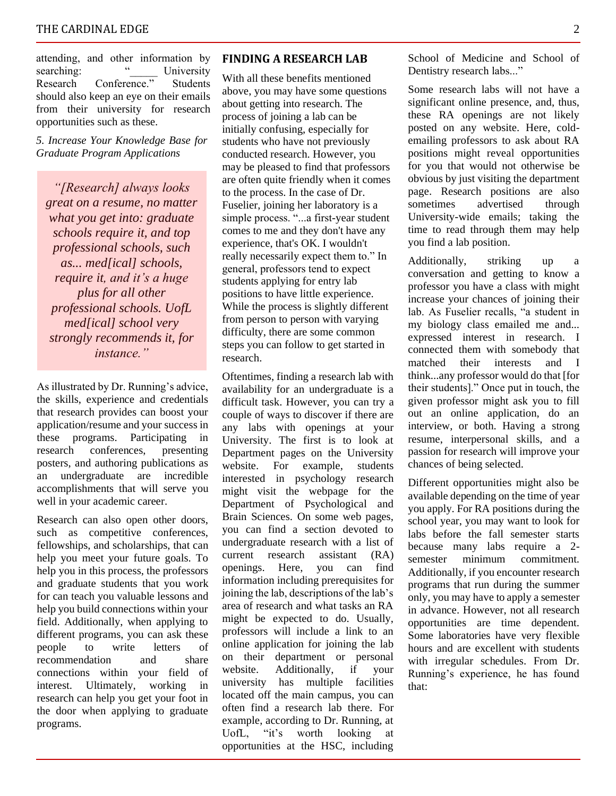#### THE CARDINAL EDGE  $\hskip 1.5cm 2$

attending, and other information by searching: " University Research Conference." Students should also keep an eye on their emails from their university for research opportunities such as these.

*5. Increase Your Knowledge Base for Graduate Program Applications*

*"[Research] always looks great on a resume, no matter what you get into: graduate schools require it, and top professional schools, such as... med[ical] schools, require it, and it's a huge plus for all other professional schools. UofL med[ical] school very strongly recommends it, for instance."* 

As illustrated by Dr. Running's advice, the skills, experience and credentials that research provides can boost your application/resume and your success in these programs. Participating in research conferences, presenting posters, and authoring publications as an undergraduate are incredible accomplishments that will serve you well in your academic career.

Research can also open other doors, such as competitive conferences, fellowships, and scholarships, that can help you meet your future goals. To help you in this process, the professors and graduate students that you work for can teach you valuable lessons and help you build connections within your field. Additionally, when applying to different programs, you can ask these people to write letters of recommendation and share connections within your field of interest. Ultimately, working in research can help you get your foot in the door when applying to graduate programs.

#### **FINDING A RESEARCH LAB**

With all these benefits mentioned above, you may have some questions about getting into research. The process of joining a lab can be initially confusing, especially for students who have not previously conducted research. However, you may be pleased to find that professors are often quite friendly when it comes to the process. In the case of Dr. Fuselier, joining her laboratory is a simple process. "...a first-year student comes to me and they don't have any experience, that's OK. I wouldn't really necessarily expect them to." In general, professors tend to expect students applying for entry lab positions to have little experience. While the process is slightly different from person to person with varying difficulty, there are some common steps you can follow to get started in research.

Oftentimes, finding a research lab with availability for an undergraduate is a difficult task. However, you can try a couple of ways to discover if there are any labs with openings at your University. The first is to look at Department pages on the University website. For example, students interested in psychology research might visit the webpage for the Department of Psychological and Brain Sciences. On some web pages, you can find a section devoted to undergraduate research with a list of current research assistant (RA) openings. Here, you can find information including prerequisites for joining the lab, descriptions of the lab's area of research and what tasks an RA might be expected to do. Usually, professors will include a link to an online application for joining the lab on their department or personal website. Additionally, if your university has multiple facilities located off the main campus, you can often find a research lab there. For example, according to Dr. Running, at UofL, "it's worth looking at opportunities at the HSC, including School of Medicine and School of Dentistry research labs..."

Some research labs will not have a significant online presence, and, thus, these RA openings are not likely posted on any website. Here, coldemailing professors to ask about RA positions might reveal opportunities for you that would not otherwise be obvious by just visiting the department page. Research positions are also sometimes advertised through University-wide emails; taking the time to read through them may help you find a lab position.

Additionally, striking up a conversation and getting to know a professor you have a class with might increase your chances of joining their lab. As Fuselier recalls, "a student in my biology class emailed me and... expressed interest in research. I connected them with somebody that matched their interests and I think...any professor would do that [for their students]." Once put in touch, the given professor might ask you to fill out an online application, do an interview, or both. Having a strong resume, interpersonal skills, and a passion for research will improve your chances of being selected.

Different opportunities might also be available depending on the time of year you apply. For RA positions during the school year, you may want to look for labs before the fall semester starts because many labs require a 2 semester minimum commitment. Additionally, if you encounter research programs that run during the summer only, you may have to apply a semester in advance. However, not all research opportunities are time dependent. Some laboratories have very flexible hours and are excellent with students with irregular schedules. From Dr. Running's experience, he has found that: